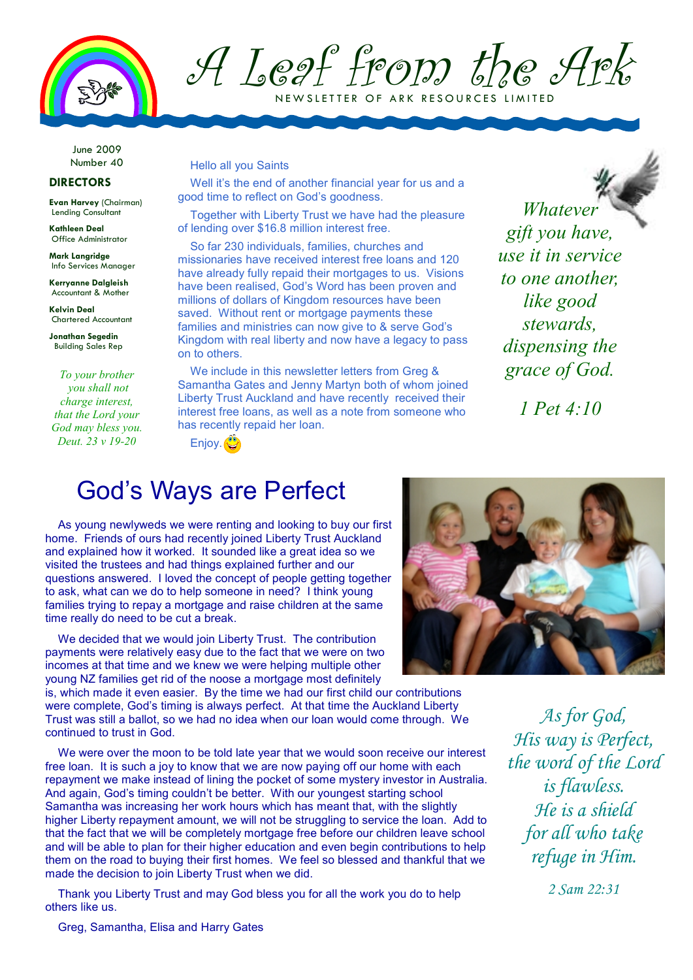

A Leaf from the Ark N E W SLETTER OF ARK RESOURCES LIMITED

June 2009 Number 40

## **DIRECTORS**

**Evan Harvey** (Chairman) Lending Consultant

**Kathleen Deal**  Office Administrator

**Mark Langridge**  Info Services Manager

**Kerryanne Dalgleish**  Accountant & Mother

**Kelvin Deal**  Chartered Accountant

**Jonathan Segedin**  Building Sales Rep

*To your brother you shall not charge interest, that the Lord your God may bless you. Deut. 23 v 19-20*

## Hello all you Saints

Well it's the end of another financial year for us and a good time to reflect on God's goodness.

Together with Liberty Trust we have had the pleasure of lending over \$16.8 million interest free.

So far 230 individuals, families, churches and missionaries have received interest free loans and 120 have already fully repaid their mortgages to us. Visions have been realised, God's Word has been proven and millions of dollars of Kingdom resources have been saved. Without rent or mortgage payments these families and ministries can now give to & serve God's Kingdom with real liberty and now have a legacy to pass on to others.

We include in this newsletter letters from Greg & Samantha Gates and Jenny Martyn both of whom joined Liberty Trust Auckland and have recently received their interest free loans, as well as a note from someone who has recently repaid her loan.

Enjoy.

*Whatever gift you have, use it in service to one another, like good stewards, dispensing the grace of God.* 

*1 Pet 4:10* 

## God's Ways are Perfect

As young newlyweds we were renting and looking to buy our first home. Friends of ours had recently joined Liberty Trust Auckland and explained how it worked. It sounded like a great idea so we visited the trustees and had things explained further and our questions answered. I loved the concept of people getting together to ask, what can we do to help someone in need? I think young families trying to repay a mortgage and raise children at the same time really do need to be cut a break.

We decided that we would join Liberty Trust. The contribution payments were relatively easy due to the fact that we were on two incomes at that time and we knew we were helping multiple other young NZ families get rid of the noose a mortgage most definitely

is, which made it even easier. By the time we had our first child our contributions were complete, God's timing is always perfect. At that time the Auckland Liberty Trust was still a ballot, so we had no idea when our loan would come through. We continued to trust in God.

We were over the moon to be told late year that we would soon receive our interest free loan. It is such a joy to know that we are now paying off our home with each repayment we make instead of lining the pocket of some mystery investor in Australia. And again, God's timing couldn't be better. With our youngest starting school Samantha was increasing her work hours which has meant that, with the slightly higher Liberty repayment amount, we will not be struggling to service the loan. Add to that the fact that we will be completely mortgage free before our children leave school and will be able to plan for their higher education and even begin contributions to help them on the road to buying their first homes. We feel so blessed and thankful that we made the decision to join Liberty Trust when we did.

Thank you Liberty Trust and may God bless you for all the work you do to help others like us.



*As for God, His way is Perfect, the word of the Lord is flawless. He is a shield for all who take refuge in Him.* 

*2 Sam 22:31* 

Greg, Samantha, Elisa and Harry Gates